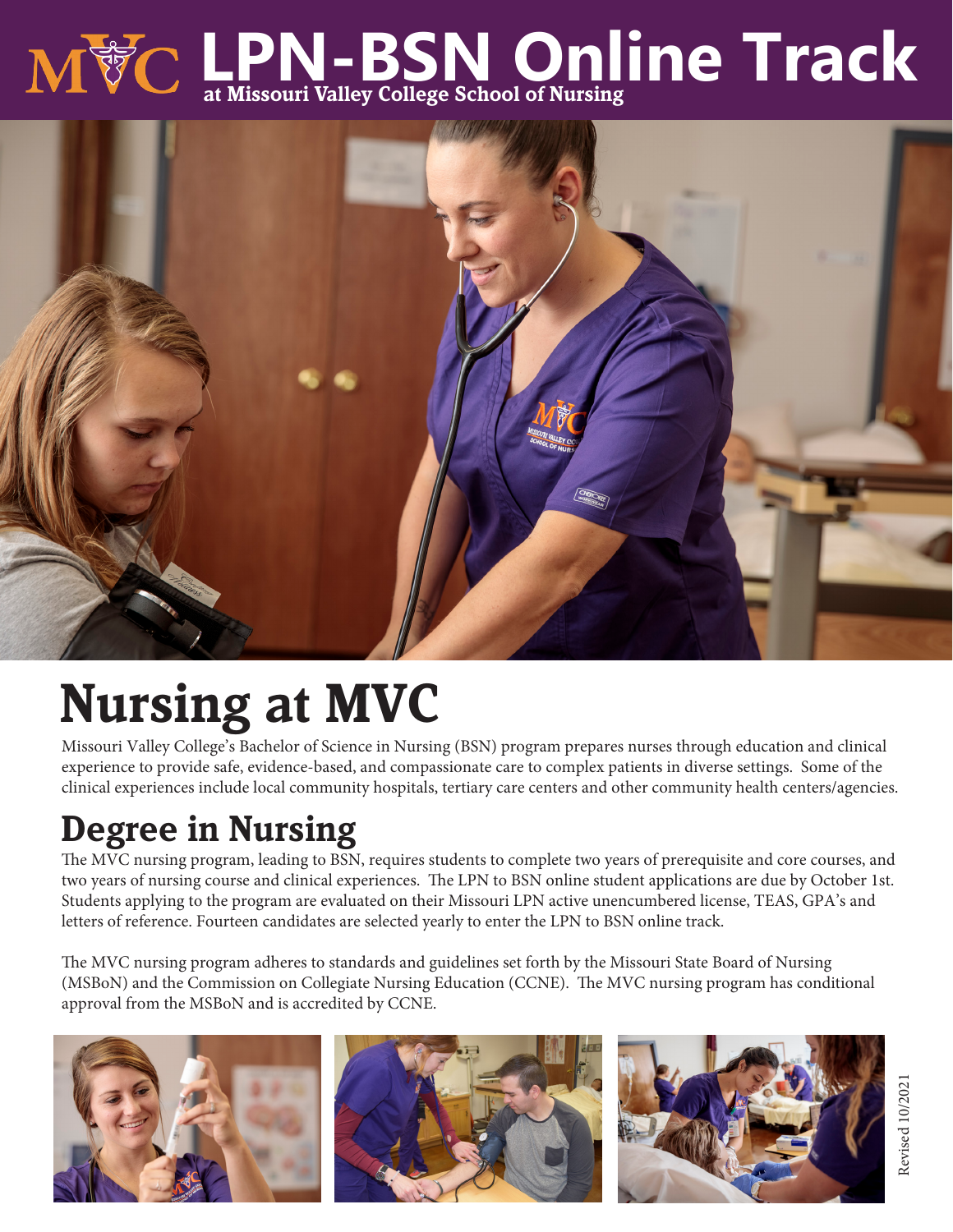# **LPN-BSN Online Track at Missouri Valley College School of Nursing**



## **Nursing at MVC**

Missouri Valley College's Bachelor of Science in Nursing (BSN) program prepares nurses through education and clinical experience to provide safe, evidence-based, and compassionate care to complex patients in diverse settings. Some of the clinical experiences include local community hospitals, tertiary care centers and other community health centers/agencies.

## **Degree in Nursing**

The MVC nursing program, leading to BSN, requires students to complete two years of prerequisite and core courses, and two years of nursing course and clinical experiences. The LPN to BSN online student applications are due by October 1st. Students applying to the program are evaluated on their Missouri LPN active unencumbered license, TEAS, GPA's and letters of reference. Fourteen candidates are selected yearly to enter the LPN to BSN online track.

The MVC nursing program adheres to standards and guidelines set forth by the Missouri State Board of Nursing (MSBoN) and the Commission on Collegiate Nursing Education (CCNE). The MVC nursing program has conditional approval from the MSBoN and is accredited by CCNE.